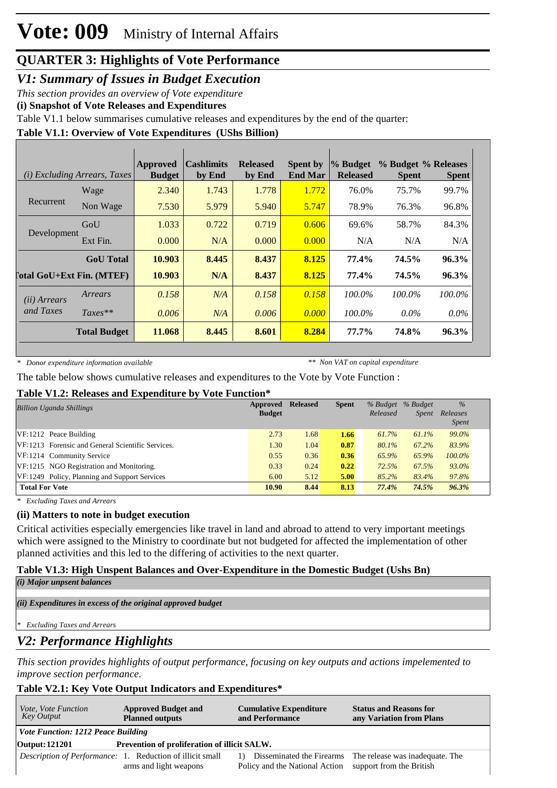*V1: Summary of Issues in Budget Execution*

*This section provides an overview of Vote expenditure* 

**(i) Snapshot of Vote Releases and Expenditures**

Table V1.1 below summarises cumulative releases and expenditures by the end of the quarter:

### **Table V1.1: Overview of Vote Expenditures (UShs Billion)**

|                                  | ( <i>i</i> ) Excluding Arrears, Taxes | Approved<br><b>Budget</b> | <b>Cashlimits</b><br>by End | <b>Released</b><br>by End | <b>Spent by</b><br><b>End Mar</b> | $\%$ Budget<br><b>Released</b> | <b>Spent</b> | % Budget % Releases<br><b>Spent</b> |
|----------------------------------|---------------------------------------|---------------------------|-----------------------------|---------------------------|-----------------------------------|--------------------------------|--------------|-------------------------------------|
|                                  | Wage                                  | 2.340                     | 1.743                       | 1.778                     | 1.772                             | 76.0%                          | 75.7%        | 99.7%                               |
| Recurrent                        | Non Wage                              | 7.530                     | 5.979                       | 5.940                     | 5.747                             | 78.9%                          | 76.3%        | 96.8%                               |
|                                  | GoU                                   | 1.033                     | 0.722                       | 0.719                     | 0.606                             | 69.6%                          | 58.7%        | 84.3%                               |
| Development                      | Ext Fin.                              | 0.000                     | N/A                         | 0.000                     | 0.000                             | N/A                            | N/A          | N/A                                 |
|                                  | <b>GoU</b> Total                      | 10.903                    | 8.445                       | 8.437                     | 8.125                             | 77.4%                          | 74.5%        | 96.3%                               |
| <b>Total GoU+Ext Fin. (MTEF)</b> |                                       | 10.903                    | N/A                         | 8.437                     | 8.125                             | 77.4%                          | 74.5%        | 96.3%                               |
| ( <i>ii</i> ) Arrears            | Arrears                               | 0.158                     | N/A                         | 0.158                     | 0.158                             | $100.0\%$                      | $100.0\%$    | 100.0%                              |
| and Taxes                        | $Taxes**$                             | 0.006                     | N/A                         | 0.006                     | 0.000                             | $100.0\%$                      | $0.0\%$      | $0.0\%$                             |
|                                  | <b>Total Budget</b>                   | 11.068                    | 8.445                       | 8.601                     | 8.284                             | $77.7\%$                       | 74.8%        | 96.3%                               |

*\* Donor expenditure information available*

*\*\* Non VAT on capital expenditure*

The table below shows cumulative releases and expenditures to the Vote by Vote Function :

#### **Table V1.2: Releases and Expenditure by Vote Function\***

| <b>Billion Uganda Shillings</b>                   | Approved<br><b>Budget</b> | <b>Released</b> | <b>Spent</b> | Released | % Budget % Budget<br><i>Spent</i> | $\%$<br>Releases<br><i>Spent</i> |  |
|---------------------------------------------------|---------------------------|-----------------|--------------|----------|-----------------------------------|----------------------------------|--|
| $VF:1212$ Peace Building                          | 2.73                      | 1.68            | 1.66         | 61.7%    | 61.1%                             | 99.0%                            |  |
| VF:1213 Forensic and General Scientific Services. | 1.30                      | 1.04            | 0.87         | 80.1%    | 67.2%                             | 83.9%                            |  |
| VF:1214 Community Service                         | 0.55                      | 0.36            | 0.36         | 65.9%    | 65.9%                             | $100.0\%$                        |  |
| VF:1215 NGO Registration and Monitoring.          | 0.33                      | 0.24            | 0.22         | 72.5%    | 67.5%                             | $93.0\%$                         |  |
| VF:1249 Policy, Planning and Support Services     | 6.00                      | 5.12            | 5.00         | 85.2%    | 83.4%                             | 97.8%                            |  |
| <b>Total For Vote</b>                             | 10.90                     | 8.44            | 8.13         | 77.4%    | 74.5%                             | 96.3%                            |  |

*\* Excluding Taxes and Arrears*

### **(ii) Matters to note in budget execution**

Critical activities especially emergencies like travel in land and abroad to attend to very important meetings which were assigned to the Ministry to coordinate but not budgeted for affected the implementation of other planned activities and this led to the differing of activities to the next quarter.

### **Table V1.3: High Unspent Balances and Over-Expenditure in the Domestic Budget (Ushs Bn)**

| (i) Major unpsent balances |  |
|----------------------------|--|
|                            |  |

*(ii) Expenditures in excess of the original approved budget*

*\* Excluding Taxes and Arrears*

### *V2: Performance Highlights*

*This section provides highlights of output performance, focusing on key outputs and actions impelemented to improve section performance.*

### **Table V2.1: Key Vote Output Indicators and Expenditures\***

| Vote, Vote Function | <b>Approved Budget and</b>                                        | <b>Cumulative Expenditure</b>  | <b>Status and Reasons for</b>   |  |  |  |
|---------------------|-------------------------------------------------------------------|--------------------------------|---------------------------------|--|--|--|
| Key Output          | <b>Planned outputs</b>                                            | and Performance                | any Variation from Plans        |  |  |  |
|                     | <i>Vote Function: 1212 Peace Building</i>                         |                                |                                 |  |  |  |
| Output: 121201      | Prevention of proliferation of illicit SALW.                      |                                |                                 |  |  |  |
|                     | <i>Description of Performance</i> : 1. Reduction of illicit small | 1) Disseminated the Firearms   | The release was inadequate. The |  |  |  |
|                     | arms and light weapons                                            | Policy and the National Action | support from the British        |  |  |  |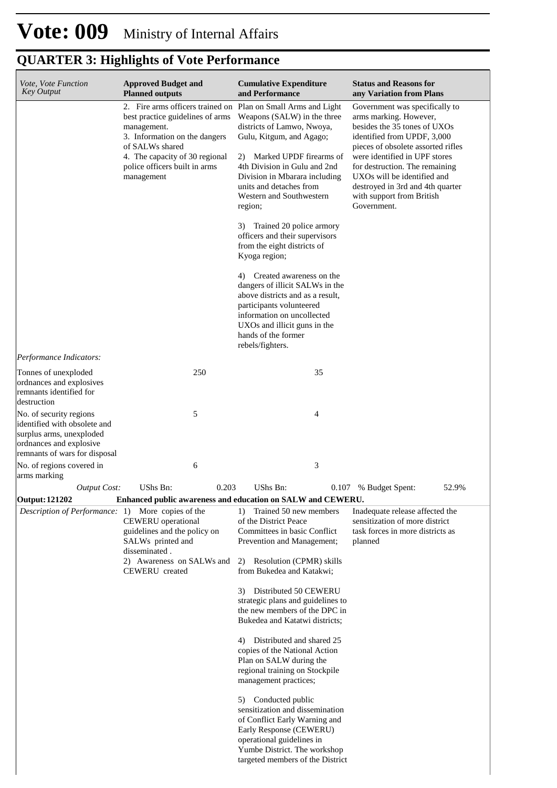#### **Cumulative Expenditure and Performance Approved Budget and Planned outputs Status and Reasons for any Variation from Plans** *Vote, Vote Function Key Output* 2. Fire arms officers trained on best practice guidelines of arms management. 3. Information on the dangers of SALWs shared 4. The capacity of 30 regional police officers built in arms management Plan on Small Arms and Light Weapons (SALW) in the three districts of Lamwo, Nwoya, Gulu, Kitgum, and Agago; 2) Marked UPDF firearms of 4th Division in Gulu and 2nd Division in Mbarara including units and detaches from Western and Southwestern region; 3) Trained 20 police armory officers and their supervisors from the eight districts of Kyoga region; 4) Created awareness on the dangers of illicit SALWs in the above districts and as a result, participants volunteered information on uncollected UXOs and illicit guns in the hands of the former rebels/fighters. Government was specifically to arms marking. However, besides the 35 tones of UXOs identified from UPDF, 3,000 pieces of obsolete assorted rifles were identified in UPF stores for destruction. The remaining UXOs will be identified and destroyed in 3rd and 4th quarter with support from British Government. *Output Cost:* UShs Bn: 0.203 UShs Bn: 0.107 % Budget Spent: 52.9% *Performance Indicators:* Tonnes of unexploded ordnances and explosives remnants identified for destruction 250 35 No. of security regions identified with obsolete and surplus arms, unexploded ordnances and explosive remnants of wars for disposal  $5 \hspace{2.5cm} 4$ No. of regions covered in arms marking 6 3 **Output: 121202 Enhanced public awareness and education on SALW and CEWERU.** *Description of Performance:* 1) More copies of the CEWERU operational guidelines and the policy on SALWs printed and disseminated . 2) Awareness on SALWs and 2) Resolution (CPMR) skills CEWERU created 1) Trained 50 new members of the District Peace Committees in basic Conflict Prevention and Management; from Bukedea and Katakwi; 3) Distributed 50 CEWERU strategic plans and guidelines to the new members of the DPC in Bukedea and Katatwi districts; 4) Distributed and shared 25 copies of the National Action Plan on SALW during the regional training on Stockpile management practices; 5) Conducted public sensitization and dissemination of Conflict Early Warning and Early Response (CEWERU) operational guidelines in Yumbe District. The workshop Inadequate release affected the sensitization of more district task forces in more districts as planned

targeted members of the District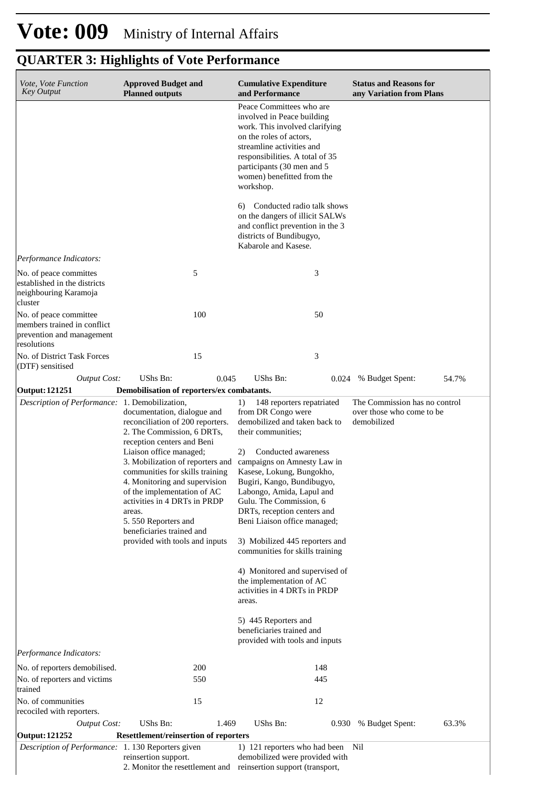| Vote, Vote Function<br><b>Key Output</b>                                                          | <b>Approved Budget and</b><br><b>Planned outputs</b>                                                                                                                                                                                                                                                                                                                                                                          | <b>Cumulative Expenditure</b><br>and Performance                                                                                                                                                                                                                                                                                                                                                                                                                                                                                                                                                                               | <b>Status and Reasons for</b><br>any Variation from Plans                 |
|---------------------------------------------------------------------------------------------------|-------------------------------------------------------------------------------------------------------------------------------------------------------------------------------------------------------------------------------------------------------------------------------------------------------------------------------------------------------------------------------------------------------------------------------|--------------------------------------------------------------------------------------------------------------------------------------------------------------------------------------------------------------------------------------------------------------------------------------------------------------------------------------------------------------------------------------------------------------------------------------------------------------------------------------------------------------------------------------------------------------------------------------------------------------------------------|---------------------------------------------------------------------------|
|                                                                                                   |                                                                                                                                                                                                                                                                                                                                                                                                                               | Peace Committees who are<br>involved in Peace building<br>work. This involved clarifying<br>on the roles of actors,<br>streamline activities and<br>responsibilities. A total of 35<br>participants (30 men and 5<br>women) benefitted from the<br>workshop.                                                                                                                                                                                                                                                                                                                                                                   |                                                                           |
|                                                                                                   |                                                                                                                                                                                                                                                                                                                                                                                                                               | Conducted radio talk shows<br>6)<br>on the dangers of illicit SALWs<br>and conflict prevention in the 3<br>districts of Bundibugyo,<br>Kabarole and Kasese.                                                                                                                                                                                                                                                                                                                                                                                                                                                                    |                                                                           |
| Performance Indicators:                                                                           |                                                                                                                                                                                                                                                                                                                                                                                                                               |                                                                                                                                                                                                                                                                                                                                                                                                                                                                                                                                                                                                                                |                                                                           |
| No. of peace committes<br>established in the districts<br>neighbouring Karamoja<br>cluster        | 5                                                                                                                                                                                                                                                                                                                                                                                                                             | 3                                                                                                                                                                                                                                                                                                                                                                                                                                                                                                                                                                                                                              |                                                                           |
| No. of peace committee<br>members trained in conflict<br>prevention and management<br>resolutions | 100                                                                                                                                                                                                                                                                                                                                                                                                                           | 50                                                                                                                                                                                                                                                                                                                                                                                                                                                                                                                                                                                                                             |                                                                           |
| No. of District Task Forces<br>(DTF) sensitised                                                   | 15                                                                                                                                                                                                                                                                                                                                                                                                                            | 3                                                                                                                                                                                                                                                                                                                                                                                                                                                                                                                                                                                                                              |                                                                           |
| <b>Output Cost:</b>                                                                               | UShs Bn:<br>0.045                                                                                                                                                                                                                                                                                                                                                                                                             | <b>UShs Bn:</b><br>0.024                                                                                                                                                                                                                                                                                                                                                                                                                                                                                                                                                                                                       | 54.7%<br>% Budget Spent:                                                  |
| Output: 121251                                                                                    | Demobilisation of reporters/ex combatants.                                                                                                                                                                                                                                                                                                                                                                                    |                                                                                                                                                                                                                                                                                                                                                                                                                                                                                                                                                                                                                                |                                                                           |
| Description of Performance: 1. Demobilization,                                                    | documentation, dialogue and<br>reconciliation of 200 reporters.<br>2. The Commission, 6 DRTs,<br>reception centers and Beni<br>Liaison office managed;<br>3. Mobilization of reporters and<br>communities for skills training<br>4. Monitoring and supervision<br>of the implementation of AC<br>activities in 4 DRTs in PRDP<br>areas.<br>5.550 Reporters and<br>beneficiaries trained and<br>provided with tools and inputs | 148 reporters repatriated<br>1)<br>from DR Congo were<br>demobilized and taken back to<br>their communities;<br>2)<br>Conducted awareness<br>campaigns on Amnesty Law in<br>Kasese, Lokung, Bungokho,<br>Bugiri, Kango, Bundibugyo,<br>Labongo, Amida, Lapul and<br>Gulu. The Commission, 6<br>DRTs, reception centers and<br>Beni Liaison office managed;<br>3) Mobilized 445 reporters and<br>communities for skills training<br>4) Monitored and supervised of<br>the implementation of AC<br>activities in 4 DRTs in PRDP<br>areas.<br>5) 445 Reporters and<br>beneficiaries trained and<br>provided with tools and inputs | The Commission has no control<br>over those who come to be<br>demobilized |
| Performance Indicators:                                                                           |                                                                                                                                                                                                                                                                                                                                                                                                                               |                                                                                                                                                                                                                                                                                                                                                                                                                                                                                                                                                                                                                                |                                                                           |
| No. of reporters demobilised.<br>No. of reporters and victims                                     | 200<br>550                                                                                                                                                                                                                                                                                                                                                                                                                    | 148<br>445                                                                                                                                                                                                                                                                                                                                                                                                                                                                                                                                                                                                                     |                                                                           |
| trained<br>No. of communities                                                                     | 15                                                                                                                                                                                                                                                                                                                                                                                                                            | 12                                                                                                                                                                                                                                                                                                                                                                                                                                                                                                                                                                                                                             |                                                                           |
| recociled with reporters.<br><b>Output Cost:</b>                                                  | UShs Bn:<br>1.469                                                                                                                                                                                                                                                                                                                                                                                                             | UShs Bn:<br>0.930                                                                                                                                                                                                                                                                                                                                                                                                                                                                                                                                                                                                              | 63.3%<br>% Budget Spent:                                                  |
| <b>Output: 121252</b>                                                                             | <b>Resettlement/reinsertion of reporters</b>                                                                                                                                                                                                                                                                                                                                                                                  |                                                                                                                                                                                                                                                                                                                                                                                                                                                                                                                                                                                                                                |                                                                           |
| Description of Performance: 1.130 Reporters given                                                 |                                                                                                                                                                                                                                                                                                                                                                                                                               | 1) 121 reporters who had been                                                                                                                                                                                                                                                                                                                                                                                                                                                                                                                                                                                                  | Nil                                                                       |
|                                                                                                   | reinsertion support.<br>2. Monitor the resettlement and                                                                                                                                                                                                                                                                                                                                                                       | demobilized were provided with<br>reinsertion support (transport,                                                                                                                                                                                                                                                                                                                                                                                                                                                                                                                                                              |                                                                           |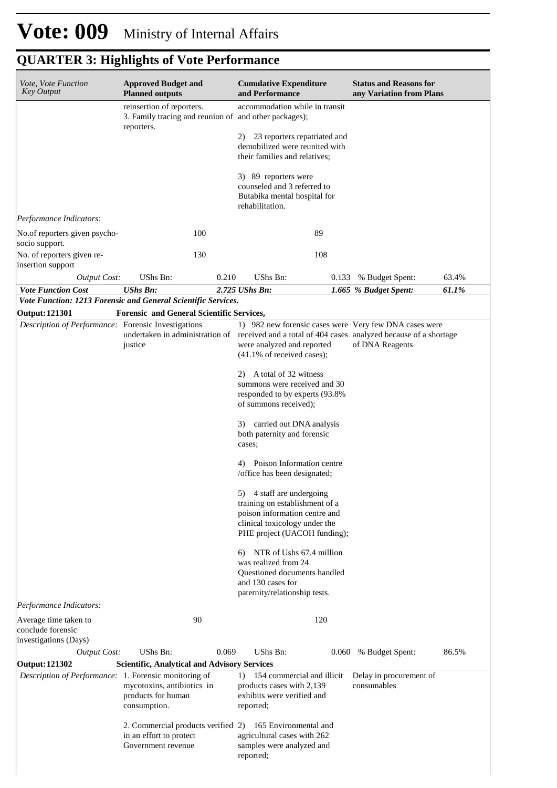| Vote, Vote Function<br><b>Key Output</b>              | <b>Approved Budget and</b><br><b>Planned outputs</b>                                             | <b>Cumulative Expenditure</b><br>and Performance                                                                                                             | <b>Status and Reasons for</b><br>any Variation from Plans |
|-------------------------------------------------------|--------------------------------------------------------------------------------------------------|--------------------------------------------------------------------------------------------------------------------------------------------------------------|-----------------------------------------------------------|
|                                                       | reinsertion of reporters.<br>3. Family tracing and reunion of and other packages);<br>reporters. | accommodation while in transit                                                                                                                               |                                                           |
|                                                       |                                                                                                  | 23 reporters repatriated and<br>2)<br>demobilized were reunited with<br>their families and relatives;                                                        |                                                           |
|                                                       |                                                                                                  | 3) 89 reporters were<br>counseled and 3 referred to<br>Butabika mental hospital for<br>rehabilitation.                                                       |                                                           |
| Performance Indicators:                               |                                                                                                  |                                                                                                                                                              |                                                           |
| No.of reporters given psycho-<br>socio support.       | 100                                                                                              | 89                                                                                                                                                           |                                                           |
| No. of reporters given re-<br>insertion support       | 130                                                                                              | 108                                                                                                                                                          |                                                           |
| <b>Output Cost:</b>                                   | UShs Bn:<br>0.210                                                                                | UShs Bn:<br>0.133                                                                                                                                            | 63.4%<br>% Budget Spent:                                  |
| <b>Vote Function Cost</b>                             | <b>UShs Bn:</b><br>Vote Function: 1213 Forensic and General Scientific Services.                 | 2.725 UShs Bn:                                                                                                                                               | 1.665 % Budget Spent:<br>61.1%                            |
| <b>Output: 121301</b>                                 | <b>Forensic and General Scientific Services,</b>                                                 |                                                                                                                                                              |                                                           |
| Description of Performance: Forensic Investigations   |                                                                                                  | 1) 982 new forensic cases were Very few DNA cases were                                                                                                       |                                                           |
|                                                       | justice                                                                                          | undertaken in administration of received and a total of 404 cases analyzed because of a shortage<br>were analyzed and reported<br>(41.1% of received cases); | of DNA Reagents                                           |
|                                                       |                                                                                                  | A total of 32 witness<br>2).<br>summons were received and 30                                                                                                 |                                                           |
|                                                       |                                                                                                  | responded to by experts (93.8%<br>of summons received);                                                                                                      |                                                           |
|                                                       |                                                                                                  | 3) carried out DNA analysis<br>both paternity and forensic<br>cases;                                                                                         |                                                           |
|                                                       |                                                                                                  | Poison Information centre<br>4)<br>/office has been designated;                                                                                              |                                                           |
|                                                       |                                                                                                  | 5) 4 staff are undergoing<br>training on establishment of a<br>poison information centre and<br>clinical toxicology under the                                |                                                           |
|                                                       |                                                                                                  | PHE project (UACOH funding);<br>NTR of Ushs 67.4 million<br>6)                                                                                               |                                                           |
|                                                       |                                                                                                  | was realized from 24<br>Questioned documents handled<br>and 130 cases for<br>paternity/relationship tests.                                                   |                                                           |
| Performance Indicators:                               |                                                                                                  |                                                                                                                                                              |                                                           |
| Average time taken to<br>conclude forensic            | 90                                                                                               | 120                                                                                                                                                          |                                                           |
| investigations (Days)                                 |                                                                                                  |                                                                                                                                                              |                                                           |
| <b>Output Cost:</b><br><b>Output: 121302</b>          | UShs Bn:<br>0.069<br><b>Scientific, Analytical and Advisory Services</b>                         | UShs Bn:<br>0.060                                                                                                                                            | 86.5%<br>% Budget Spent:                                  |
| Description of Performance: 1. Forensic monitoring of | mycotoxins, antibiotics in<br>products for human                                                 | 154 commercial and illicit<br>$\left( \right)$<br>products cases with 2,139<br>exhibits were verified and                                                    | Delay in procurement of<br>consumables                    |
|                                                       | consumption.                                                                                     | reported;                                                                                                                                                    |                                                           |
|                                                       | 2. Commercial products verified 2)<br>in an effort to protect<br>Government revenue              | 165 Environmental and<br>agricultural cases with 262<br>samples were analyzed and                                                                            |                                                           |
|                                                       |                                                                                                  | reported;                                                                                                                                                    |                                                           |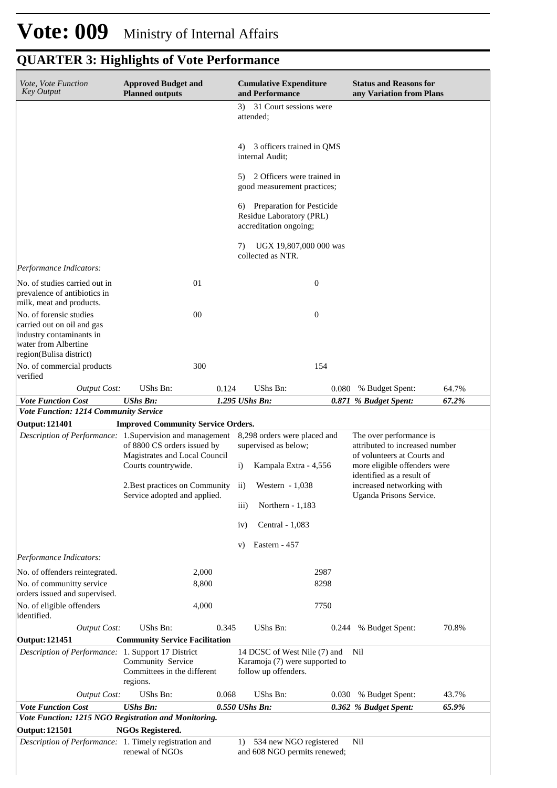| Vote, Vote Function<br><b>Key Output</b>                                                                                             | <b>Approved Budget and</b><br><b>Planned outputs</b>               |       | <b>Cumulative Expenditure</b><br>and Performance                                      |       | <b>Status and Reasons for</b><br>any Variation from Plans |       |
|--------------------------------------------------------------------------------------------------------------------------------------|--------------------------------------------------------------------|-------|---------------------------------------------------------------------------------------|-------|-----------------------------------------------------------|-------|
|                                                                                                                                      |                                                                    |       | 31 Court sessions were<br>3).<br>attended;                                            |       |                                                           |       |
|                                                                                                                                      |                                                                    |       | 3 officers trained in QMS<br>4)<br>internal Audit:                                    |       |                                                           |       |
|                                                                                                                                      |                                                                    |       | 2 Officers were trained in<br>5)<br>good measurement practices;                       |       |                                                           |       |
|                                                                                                                                      |                                                                    |       | Preparation for Pesticide<br>6)<br>Residue Laboratory (PRL)<br>accreditation ongoing; |       |                                                           |       |
|                                                                                                                                      |                                                                    |       | UGX 19,807,000 000 was<br>7)<br>collected as NTR.                                     |       |                                                           |       |
| Performance Indicators:                                                                                                              |                                                                    |       |                                                                                       |       |                                                           |       |
| No. of studies carried out in<br>prevalence of antibiotics in<br>milk, meat and products.                                            | 01                                                                 |       | $\boldsymbol{0}$                                                                      |       |                                                           |       |
| No. of forensic studies<br>carried out on oil and gas<br>industry contaminants in<br>water from Albertine<br>region(Bulisa district) | 00                                                                 |       | $\boldsymbol{0}$                                                                      |       |                                                           |       |
| No. of commercial products<br>verified                                                                                               | 300                                                                |       |                                                                                       | 154   |                                                           |       |
| <b>Output Cost:</b>                                                                                                                  | UShs Bn:                                                           | 0.124 | UShs Bn:                                                                              |       | 0.080 % Budget Spent:                                     | 64.7% |
| <b>Vote Function Cost</b>                                                                                                            | <b>UShs Bn:</b>                                                    |       | 1.295 UShs Bn:                                                                        |       | 0.871 % Budget Spent:                                     | 67.2% |
| Vote Function: 1214 Community Service                                                                                                |                                                                    |       |                                                                                       |       |                                                           |       |
| <b>Output: 121401</b><br>Description of Performance: 1. Supervision and management                                                   | <b>Improved Community Service Orders.</b>                          |       | 8,298 orders were placed and                                                          |       | The over performance is                                   |       |
|                                                                                                                                      | of 8800 CS orders issued by<br>Magistrates and Local Council       |       | attributed to increased number<br>supervised as below;<br>of volunteers at Courts and |       |                                                           |       |
|                                                                                                                                      | Courts countrywide.                                                |       | Kampala Extra - 4,556<br>$\mathbf{i}$                                                 |       | more eligible offenders were<br>identified as a result of |       |
|                                                                                                                                      | 2. Best practices on Community ii)<br>Service adopted and applied. |       | Western $-1,038$                                                                      |       | increased networking with<br>Uganda Prisons Service.      |       |
|                                                                                                                                      |                                                                    |       | $\overline{111}$<br>Northern $-1,183$<br>Central - 1,083<br>iv)                       |       |                                                           |       |
|                                                                                                                                      |                                                                    |       |                                                                                       |       |                                                           |       |
| Performance Indicators:                                                                                                              |                                                                    |       | Eastern - 457<br>V)                                                                   |       |                                                           |       |
| No. of offenders reintegrated.                                                                                                       | 2,000                                                              |       |                                                                                       | 2987  |                                                           |       |
| No. of communitty service<br>orders issued and supervised.                                                                           | 8,800                                                              |       |                                                                                       | 8298  |                                                           |       |
| No. of eligible offenders<br>identified.                                                                                             | 4,000                                                              |       |                                                                                       | 7750  |                                                           |       |
| <b>Output Cost:</b>                                                                                                                  | UShs Bn:                                                           | 0.345 | UShs Bn:                                                                              | 0.244 | % Budget Spent:                                           | 70.8% |
| <b>Output: 121451</b><br>Description of Performance: 1. Support 17 District                                                          | <b>Community Service Facilitation</b>                              |       | 14 DCSC of West Nile (7) and                                                          |       | Nil                                                       |       |
|                                                                                                                                      | Community Service<br>Committees in the different<br>regions.       |       | Karamoja (7) were supported to<br>follow up offenders.                                |       |                                                           |       |
| <b>Output Cost:</b>                                                                                                                  | UShs Bn:                                                           | 0.068 | UShs Bn:                                                                              |       | 0.030 % Budget Spent:                                     | 43.7% |
| <b>Vote Function Cost</b>                                                                                                            | <b>UShs Bn:</b>                                                    |       | 0.550 UShs Bn:                                                                        |       | 0.362 % Budget Spent:                                     | 65.9% |
| Vote Function: 1215 NGO Registration and Monitoring.<br><b>Output: 121501</b>                                                        | <b>NGOs Registered.</b>                                            |       |                                                                                       |       |                                                           |       |
| Description of Performance: 1. Timely registration and                                                                               |                                                                    |       | 534 new NGO registered<br>1)                                                          |       | Nil                                                       |       |
|                                                                                                                                      | renewal of NGOs                                                    |       | and 608 NGO permits renewed;                                                          |       |                                                           |       |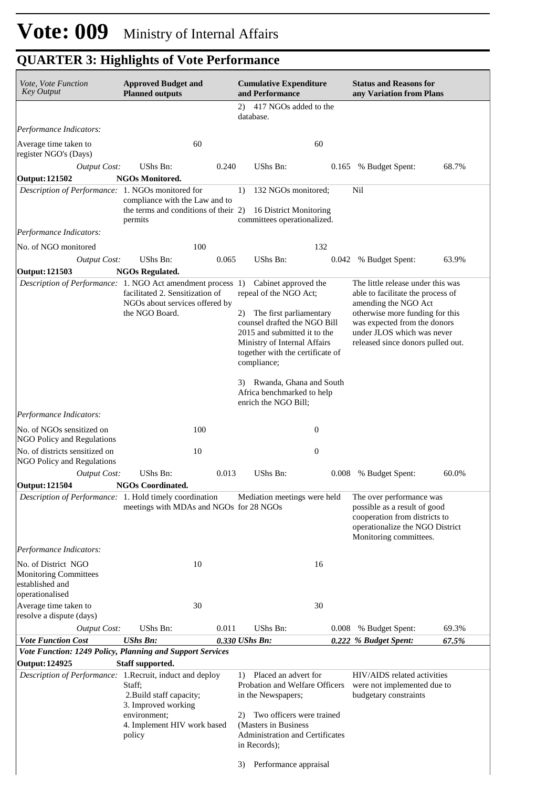| Vote, Vote Function<br><b>Key Output</b>                                                  | <b>Approved Budget and</b><br><b>Planned outputs</b>                                                                         |       | <b>Cumulative Expenditure</b><br>and Performance                                                                                                                                                                                   |                  | <b>Status and Reasons for</b><br>any Variation from Plans                                                                                                                                                                            |       |
|-------------------------------------------------------------------------------------------|------------------------------------------------------------------------------------------------------------------------------|-------|------------------------------------------------------------------------------------------------------------------------------------------------------------------------------------------------------------------------------------|------------------|--------------------------------------------------------------------------------------------------------------------------------------------------------------------------------------------------------------------------------------|-------|
|                                                                                           |                                                                                                                              |       | 417 NGOs added to the<br>2)<br>database.                                                                                                                                                                                           |                  |                                                                                                                                                                                                                                      |       |
| Performance Indicators:                                                                   |                                                                                                                              |       |                                                                                                                                                                                                                                    |                  |                                                                                                                                                                                                                                      |       |
| Average time taken to<br>register NGO's (Days)                                            | 60                                                                                                                           |       |                                                                                                                                                                                                                                    | 60               |                                                                                                                                                                                                                                      |       |
| <b>Output Cost:</b>                                                                       | <b>UShs Bn:</b>                                                                                                              | 0.240 | <b>UShs Bn:</b>                                                                                                                                                                                                                    |                  | 0.165 % Budget Spent:                                                                                                                                                                                                                | 68.7% |
| <b>Output: 121502</b>                                                                     | <b>NGOs Monitored.</b>                                                                                                       |       |                                                                                                                                                                                                                                    |                  |                                                                                                                                                                                                                                      |       |
| Description of Performance: 1. NGOs monitored for                                         | compliance with the Law and to<br>the terms and conditions of their 2)<br>permits                                            |       | 132 NGOs monitored;<br>1)<br>16 District Monitoring<br>committees operationalized.                                                                                                                                                 |                  | Nil                                                                                                                                                                                                                                  |       |
| Performance Indicators:                                                                   |                                                                                                                              |       |                                                                                                                                                                                                                                    |                  |                                                                                                                                                                                                                                      |       |
| No. of NGO monitored                                                                      | 100                                                                                                                          |       |                                                                                                                                                                                                                                    | 132              |                                                                                                                                                                                                                                      |       |
| <b>Output Cost:</b>                                                                       | <b>UShs Bn:</b>                                                                                                              | 0.065 | <b>UShs Bn:</b>                                                                                                                                                                                                                    | 0.042            | % Budget Spent:                                                                                                                                                                                                                      | 63.9% |
| <b>Output: 121503</b>                                                                     | <b>NGOs Regulated.</b>                                                                                                       |       |                                                                                                                                                                                                                                    |                  |                                                                                                                                                                                                                                      |       |
| <i>Description of Performance:</i> 1. NGO Act amendment process 1)                        | facilitated 2. Sensitization of<br>NGOs about services offered by<br>the NGO Board.                                          |       | Cabinet approved the<br>repeal of the NGO Act;<br>The first parliamentary<br>2)<br>counsel drafted the NGO Bill<br>2015 and submitted it to the<br>Ministry of Internal Affairs<br>together with the certificate of<br>compliance; |                  | The little release under this was<br>able to facilitate the process of<br>amending the NGO Act<br>otherwise more funding for this<br>was expected from the donors<br>under JLOS which was never<br>released since donors pulled out. |       |
|                                                                                           |                                                                                                                              |       | 3) Rwanda, Ghana and South<br>Africa benchmarked to help<br>enrich the NGO Bill;                                                                                                                                                   |                  |                                                                                                                                                                                                                                      |       |
| Performance Indicators:                                                                   |                                                                                                                              |       |                                                                                                                                                                                                                                    |                  |                                                                                                                                                                                                                                      |       |
| No. of NGOs sensitized on<br>NGO Policy and Regulations                                   | 100                                                                                                                          |       |                                                                                                                                                                                                                                    | $\boldsymbol{0}$ |                                                                                                                                                                                                                                      |       |
| No. of districts sensitized on<br>NGO Policy and Regulations                              | 10                                                                                                                           |       |                                                                                                                                                                                                                                    | $\mathbf{0}$     |                                                                                                                                                                                                                                      |       |
| <b>Output Cost:</b>                                                                       | UShs Bn:                                                                                                                     | 0.013 | <b>UShs Bn:</b>                                                                                                                                                                                                                    | 0.008            | % Budget Spent:                                                                                                                                                                                                                      | 60.0% |
| <b>Output: 121504</b>                                                                     | <b>NGOs Coordinated.</b>                                                                                                     |       |                                                                                                                                                                                                                                    |                  |                                                                                                                                                                                                                                      |       |
| Description of Performance: 1. Hold timely coordination                                   | meetings with MDAs and NGOs for 28 NGOs                                                                                      |       | Mediation meetings were held                                                                                                                                                                                                       |                  | The over performance was<br>possible as a result of good<br>cooperation from districts to<br>operationalize the NGO District<br>Monitoring committees.                                                                               |       |
| Performance Indicators:                                                                   |                                                                                                                              |       |                                                                                                                                                                                                                                    |                  |                                                                                                                                                                                                                                      |       |
| No. of District NGO<br><b>Monitoring Committees</b><br>established and<br>operationalised | 10                                                                                                                           |       |                                                                                                                                                                                                                                    | 16               |                                                                                                                                                                                                                                      |       |
| Average time taken to<br>resolve a dispute (days)                                         | 30                                                                                                                           |       |                                                                                                                                                                                                                                    | 30               |                                                                                                                                                                                                                                      |       |
| <b>Output Cost:</b>                                                                       | UShs Bn:                                                                                                                     | 0.011 | <b>UShs Bn:</b>                                                                                                                                                                                                                    | 0.008            | % Budget Spent:                                                                                                                                                                                                                      | 69.3% |
| <b>Vote Function Cost</b>                                                                 | <b>UShs Bn:</b>                                                                                                              |       | 0.330 UShs Bn:                                                                                                                                                                                                                     |                  | 0.222 % Budget Spent:                                                                                                                                                                                                                | 67.5% |
| Vote Function: 1249 Policy, Planning and Support Services                                 |                                                                                                                              |       |                                                                                                                                                                                                                                    |                  |                                                                                                                                                                                                                                      |       |
| <b>Output: 124925</b><br>Description of Performance: 1. Recruit, induct and deploy        | Staff supported.<br>Staff;<br>2. Build staff capacity;<br>3. Improved working<br>environment;<br>4. Implement HIV work based |       | 1) Placed an advert for<br>Probation and Welfare Officers<br>in the Newspapers;<br>Two officers were trained<br>2)<br>(Masters in Business)                                                                                        |                  | HIV/AIDS related activities<br>were not implemented due to<br>budgetary constraints                                                                                                                                                  |       |
|                                                                                           | policy                                                                                                                       |       | Administration and Certificates<br>in Records);                                                                                                                                                                                    |                  |                                                                                                                                                                                                                                      |       |
|                                                                                           |                                                                                                                              |       | Performance appraisal<br>3)                                                                                                                                                                                                        |                  |                                                                                                                                                                                                                                      |       |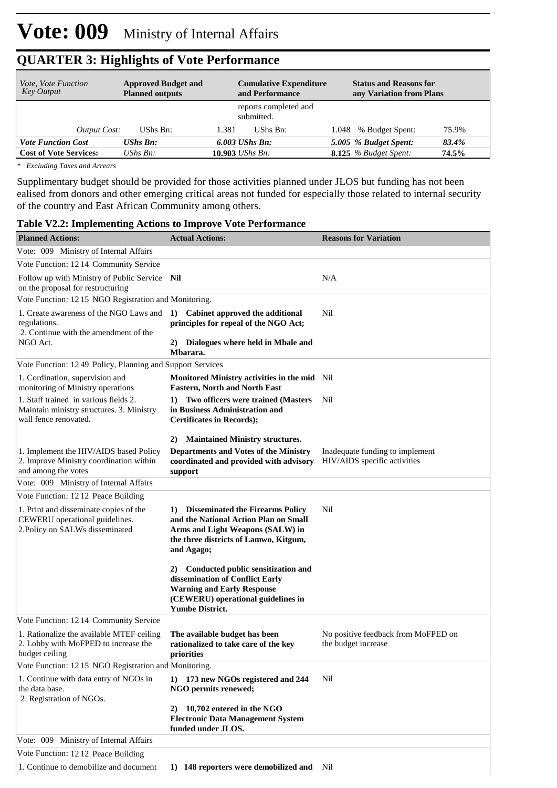| <i>Vote, Vote Function</i><br><b>Key Output</b> | <b>Approved Budget and</b><br><b>Planned outputs</b> |                         | <b>Cumulative Expenditure</b><br>and Performance | <b>Status and Reasons for</b><br>any Variation from Plans |       |
|-------------------------------------------------|------------------------------------------------------|-------------------------|--------------------------------------------------|-----------------------------------------------------------|-------|
|                                                 |                                                      |                         | reports completed and<br>submitted.              |                                                           |       |
| Output Cost:                                    | UShs Bn:                                             | 1.381                   | UShs Bn:                                         | 1.048 % Budget Spent:                                     | 75.9% |
| <b>Vote Function Cost</b>                       | <b>UShs Bn:</b>                                      | $6.003$ UShs Bn:        |                                                  | 5.005 % Budget Spent:                                     | 83.4% |
| <b>Cost of Vote Services:</b>                   | UShs $B_n$ :                                         | 10.903 <i>UShs Bn</i> : |                                                  | <b>8.125</b> % Budget Spent:                              | 74.5% |

*\* Excluding Taxes and Arrears*

Supplimentary budget should be provided for those activities planned under JLOS but funding has not been ealised from donors and other emerging critical areas not funded for especially those related to internal security of the country and East African Community among others.

| <b>Table V2.2: Implementing Actions to Improve Vote Performance</b>                                         |                                                                                                                                                                               |                                                                 |  |  |  |
|-------------------------------------------------------------------------------------------------------------|-------------------------------------------------------------------------------------------------------------------------------------------------------------------------------|-----------------------------------------------------------------|--|--|--|
| <b>Planned Actions:</b>                                                                                     | <b>Actual Actions:</b>                                                                                                                                                        | <b>Reasons for Variation</b>                                    |  |  |  |
| Vote: 009 Ministry of Internal Affairs                                                                      |                                                                                                                                                                               |                                                                 |  |  |  |
| Vote Function: 1214 Community Service                                                                       |                                                                                                                                                                               |                                                                 |  |  |  |
| Follow up with Ministry of Public Service Nil<br>on the proposal for restructuring                          |                                                                                                                                                                               | N/A                                                             |  |  |  |
| Vote Function: 1215 NGO Registration and Monitoring.                                                        |                                                                                                                                                                               |                                                                 |  |  |  |
| 1. Create awareness of the NGO Laws and<br>regulations.<br>2. Continue with the amendment of the            | 1) Cabinet approved the additional<br>principles for repeal of the NGO Act;                                                                                                   | Nil                                                             |  |  |  |
| NGO Act.                                                                                                    | 2) Dialogues where held in Mbale and<br>Mbarara.                                                                                                                              |                                                                 |  |  |  |
| Vote Function: 1249 Policy, Planning and Support Services                                                   |                                                                                                                                                                               |                                                                 |  |  |  |
| 1. Cordination, supervision and<br>monitoring of Ministry operations                                        | Monitored Ministry activities in the mid Nil<br><b>Eastern, North and North East</b>                                                                                          |                                                                 |  |  |  |
| 1. Staff trained in various fields 2.<br>Maintain ministry structures. 3. Ministry<br>wall fence renovated. | Two officers were trained (Masters<br>1)<br>in Business Administration and<br><b>Certificates in Records);</b>                                                                | Nil                                                             |  |  |  |
| 1. Implement the HIV/AIDS based Policy<br>2. Improve Ministry coordination within<br>and among the votes    | <b>Maintained Ministry structures.</b><br>2)<br><b>Departments and Votes of the Ministry</b><br>coordinated and provided with advisory<br>support                             | Inadequate funding to implement<br>HIV/AIDS specific activities |  |  |  |
| Vote: 009 Ministry of Internal Affairs                                                                      |                                                                                                                                                                               |                                                                 |  |  |  |
| Vote Function: 12 12 Peace Building                                                                         |                                                                                                                                                                               |                                                                 |  |  |  |
| 1. Print and disseminate copies of the<br>CEWERU operational guidelines.<br>2. Policy on SALWs disseminated | 1) Disseminated the Firearms Policy<br>and the National Action Plan on Small<br>Arms and Light Weapons (SALW) in<br>the three districts of Lamwo, Kitgum,<br>and Agago;       | Nil                                                             |  |  |  |
|                                                                                                             | 2) Conducted public sensitization and<br>dissemination of Conflict Early<br><b>Warning and Early Response</b><br>(CEWERU) operational guidelines in<br><b>Yumbe District.</b> |                                                                 |  |  |  |
| Vote Function: 1214 Community Service                                                                       |                                                                                                                                                                               |                                                                 |  |  |  |
| 1. Rationalize the available MTEF ceiling<br>2. Lobby with MoFPED to increase the<br>budget ceiling         | The available budget has been<br>rationalized to take care of the key<br>priorities                                                                                           | No positive feedback from MoFPED on<br>the budget increase      |  |  |  |
| Vote Function: 1215 NGO Registration and Monitoring.                                                        |                                                                                                                                                                               |                                                                 |  |  |  |
| 1. Continue with data entry of NGOs in                                                                      | $1)$ 173 new NGOs registered and 244                                                                                                                                          | Nil                                                             |  |  |  |

|                                                                                                     | Yumbe District.                                                                                   |                                                            |
|-----------------------------------------------------------------------------------------------------|---------------------------------------------------------------------------------------------------|------------------------------------------------------------|
| Vote Function: 1214 Community Service                                                               |                                                                                                   |                                                            |
| 1. Rationalize the available MTEF ceiling<br>2. Lobby with MoFPED to increase the<br>budget ceiling | The available budget has been<br>rationalized to take care of the key<br>priorities               | No positive feedback from MoFPED on<br>the budget increase |
| Vote Function: 12.15 NGO Registration and Monitoring.                                               |                                                                                                   |                                                            |
| 1. Continue with data entry of NGOs in<br>the data base.<br>2. Registration of NGOs.                | 1) 173 new NGOs registered and 244<br>NGO permits renewed;                                        | Nil                                                        |
|                                                                                                     | 10,702 entered in the NGO<br>2)<br><b>Electronic Data Management System</b><br>funded under JLOS. |                                                            |
| Vote: 009 Ministry of Internal Affairs                                                              |                                                                                                   |                                                            |
| Vote Function: 1212 Peace Building                                                                  |                                                                                                   |                                                            |
| 1. Continue to demobilize and document                                                              | 148 reporters were demobilized and<br>1)                                                          | Nil                                                        |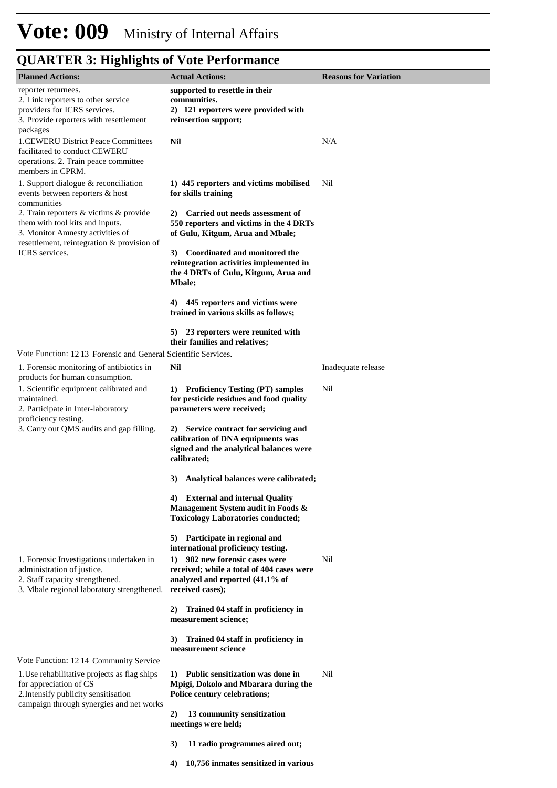# **Vote: 009** Ministry of Internal Affairs

| <b>Planned Actions:</b>                                                       | <b>Actual Actions:</b>                                                         | <b>Reasons for Variation</b> |
|-------------------------------------------------------------------------------|--------------------------------------------------------------------------------|------------------------------|
| reporter returnees.                                                           | supported to resettle in their                                                 |                              |
| 2. Link reporters to other service<br>providers for ICRS services.            | communities.<br>2) 121 reporters were provided with                            |                              |
| 3. Provide reporters with resettlement                                        | reinsertion support;                                                           |                              |
| packages                                                                      |                                                                                |                              |
| <b>1.CEWERU District Peace Committees</b>                                     | Nil                                                                            | N/A                          |
| facilitated to conduct CEWERU<br>operations. 2. Train peace committee         |                                                                                |                              |
| members in CPRM.                                                              |                                                                                |                              |
| 1. Support dialogue & reconciliation                                          | 1) 445 reporters and victims mobilised                                         | Nil                          |
| events between reporters & host                                               | for skills training                                                            |                              |
| communities<br>2. Train reporters & victims & provide                         | Carried out needs assessment of<br>2)                                          |                              |
| them with tool kits and inputs.                                               | 550 reporters and victims in the 4 DRTs                                        |                              |
| 3. Monitor Amnesty activities of                                              | of Gulu, Kitgum, Arua and Mbale;                                               |                              |
| resettlement, reintegration & provision of<br>ICRS services.                  | 3) Coordinated and monitored the                                               |                              |
|                                                                               | reintegration activities implemented in                                        |                              |
|                                                                               | the 4 DRTs of Gulu, Kitgum, Arua and                                           |                              |
|                                                                               | <b>Mbale</b> ;                                                                 |                              |
|                                                                               | 4) 445 reporters and victims were                                              |                              |
|                                                                               | trained in various skills as follows;                                          |                              |
|                                                                               | 5) 23 reporters were reunited with                                             |                              |
|                                                                               | their families and relatives;                                                  |                              |
| Vote Function: 1213 Forensic and General Scientific Services.                 |                                                                                |                              |
| 1. Forensic monitoring of antibiotics in                                      | Nil                                                                            | Inadequate release           |
| products for human consumption.<br>1. Scientific equipment calibrated and     |                                                                                | Nil                          |
| maintained.                                                                   | 1) Proficiency Testing (PT) samples<br>for pesticide residues and food quality |                              |
| 2. Participate in Inter-laboratory                                            | parameters were received;                                                      |                              |
| proficiency testing.<br>3. Carry out QMS audits and gap filling.              | 2) Service contract for servicing and                                          |                              |
|                                                                               | calibration of DNA equipments was                                              |                              |
|                                                                               | signed and the analytical balances were                                        |                              |
|                                                                               | calibrated;                                                                    |                              |
|                                                                               | Analytical balances were calibrated;<br>3)                                     |                              |
|                                                                               |                                                                                |                              |
|                                                                               | 4) External and internal Quality<br>Management System audit in Foods &         |                              |
|                                                                               | <b>Toxicology Laboratories conducted;</b>                                      |                              |
|                                                                               |                                                                                |                              |
|                                                                               | Participate in regional and<br>5)<br>international proficiency testing.        |                              |
| 1. Forensic Investigations undertaken in                                      | 982 new forensic cases were<br>1)                                              | Nil                          |
| administration of justice.                                                    | received; while a total of 404 cases were                                      |                              |
| 2. Staff capacity strengthened.<br>3. Mbale regional laboratory strengthened. | analyzed and reported (41.1% of<br>received cases);                            |                              |
|                                                                               |                                                                                |                              |
|                                                                               | Trained 04 staff in proficiency in<br>2)                                       |                              |
|                                                                               | measurement science;                                                           |                              |
|                                                                               | 3)<br>Trained 04 staff in proficiency in                                       |                              |
|                                                                               | measurement science                                                            |                              |
| Vote Function: 1214 Community Service                                         |                                                                                |                              |
| 1. Use rehabilitative projects as flag ships                                  | 1) Public sensitization was done in                                            | Nil                          |
| for appreciation of CS<br>2. Intensify publicity sensitisation                | Mpigi, Dokolo and Mbarara during the<br>Police century celebrations;           |                              |
| campaign through synergies and net works                                      |                                                                                |                              |
|                                                                               | 2)<br>13 community sensitization                                               |                              |
|                                                                               | meetings were held;                                                            |                              |
|                                                                               | 3)<br>11 radio programmes aired out;                                           |                              |
|                                                                               | 10,756 inmates sensitized in various<br>4)                                     |                              |
|                                                                               |                                                                                |                              |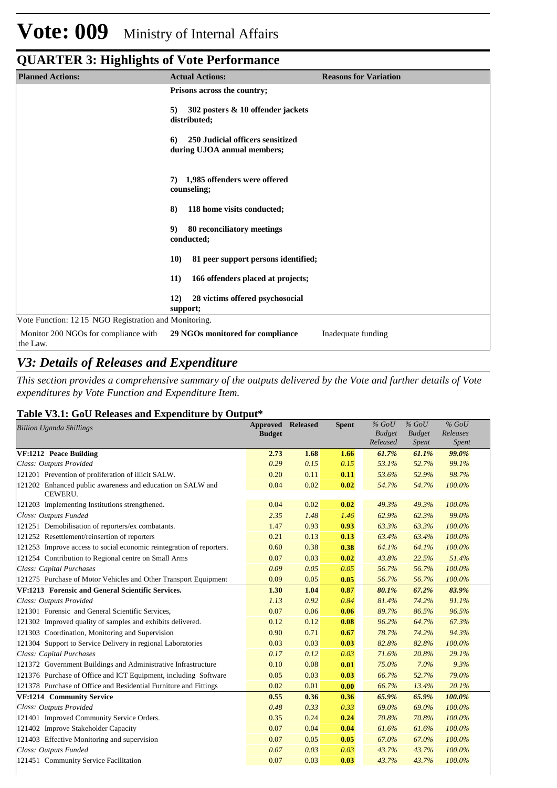| <b>Planned Actions:</b>                               | <b>Actual Actions:</b>                                                | <b>Reasons for Variation</b> |
|-------------------------------------------------------|-----------------------------------------------------------------------|------------------------------|
|                                                       | Prisons across the country;                                           |                              |
|                                                       | 302 posters & 10 offender jackets<br>5)<br>distributed;               |                              |
|                                                       | 250 Judicial officers sensitized<br>6)<br>during UJOA annual members; |                              |
|                                                       | 1,985 offenders were offered<br>7)<br>counseling;                     |                              |
|                                                       | 118 home visits conducted;<br>8)                                      |                              |
|                                                       | 80 reconciliatory meetings<br>9)<br>conducted;                        |                              |
|                                                       | 81 peer support persons identified;<br><b>10)</b>                     |                              |
|                                                       | 166 offenders placed at projects;<br>11)                              |                              |
|                                                       | 28 victims offered psychosocial<br><b>12</b> )<br>support;            |                              |
| Vote Function: 12 15 NGO Registration and Monitoring. |                                                                       |                              |
| Monitor 200 NGOs for compliance with<br>the Law.      | 29 NGOs monitored for compliance                                      | Inadequate funding           |

### *V3: Details of Releases and Expenditure*

*This section provides a comprehensive summary of the outputs delivered by the Vote and further details of Vote expenditures by Vote Function and Expenditure Item.*

### **Table V3.1: GoU Releases and Expenditure by Output\***

| <b>Billion Uganda Shillings</b>                                       | <b>Approved Released</b><br><b>Budget</b> |      | <b>Spent</b> | $%$ GoU<br><b>Budget</b><br>Released | $%$ GoU<br><b>Budget</b><br><i>Spent</i> | $%$ GoU<br>Releases<br>Spent |  |
|-----------------------------------------------------------------------|-------------------------------------------|------|--------------|--------------------------------------|------------------------------------------|------------------------------|--|
| <b>VF:1212 Peace Building</b>                                         | 2.73                                      | 1.68 | 1.66         | 61.7%                                | 61.1%                                    | 99.0%                        |  |
| Class: Outputs Provided                                               | 0.29                                      | 0.15 | 0.15         | 53.1%                                | 52.7%                                    | 99.1%                        |  |
| 121201 Prevention of proliferation of illicit SALW.                   | 0.20                                      | 0.11 | 0.11         | 53.6%                                | 52.9%                                    | 98.7%                        |  |
| 121202 Enhanced public awareness and education on SALW and<br>CEWERU. | 0.04                                      | 0.02 | 0.02         | 54.7%                                | 54.7%                                    | 100.0%                       |  |
| 121203 Implementing Institutions strengthened.                        | 0.04                                      | 0.02 | 0.02         | 49.3%                                | 49.3%                                    | 100.0%                       |  |
| Class: Outputs Funded                                                 | 2.35                                      | 1.48 | 1.46         | 62.9%                                | 62.3%                                    | 99.0%                        |  |
| 121251 Demobilisation of reporters/ex combatants.                     | 1.47                                      | 0.93 | 0.93         | 63.3%                                | 63.3%                                    | 100.0%                       |  |
| 121252 Resettlement/reinsertion of reporters                          | 0.21                                      | 0.13 | 0.13         | 63.4%                                | 63.4%                                    | 100.0%                       |  |
| 121253 Improve access to social economic reintegration of reporters.  | 0.60                                      | 0.38 | 0.38         | 64.1%                                | 64.1%                                    | 100.0%                       |  |
| 121254 Contribution to Regional centre on Small Arms                  | 0.07                                      | 0.03 | 0.02         | 43.8%                                | 22.5%                                    | 51.4%                        |  |
| Class: Capital Purchases                                              | 0.09                                      | 0.05 | 0.05         | 56.7%                                | 56.7%                                    | 100.0%                       |  |
| 121275 Purchase of Motor Vehicles and Other Transport Equipment       | 0.09                                      | 0.05 | 0.05         | 56.7%                                | 56.7%                                    | 100.0%                       |  |
| VF:1213 Forensic and General Scientific Services.                     | 1.30                                      | 1.04 | 0.87         | 80.1%                                | 67.2%                                    | 83.9%                        |  |
| Class: Outputs Provided                                               | 1.13                                      | 0.92 | 0.84         | 81.4%                                | 74.2%                                    | 91.1%                        |  |
| 121301 Forensic and General Scientific Services,                      | 0.07                                      | 0.06 | 0.06         | 89.7%                                | 86.5%                                    | 96.5%                        |  |
| 121302 Improved quality of samples and exhibits delivered.            | 0.12                                      | 0.12 | 0.08         | 96.2%                                | 64.7%                                    | 67.3%                        |  |
| 121303 Coordination, Monitoring and Supervision                       | 0.90                                      | 0.71 | 0.67         | 78.7%                                | 74.2%                                    | 94.3%                        |  |
| 121304 Support to Service Delivery in regional Laboratories           | 0.03                                      | 0.03 | 0.03         | 82.8%                                | 82.8%                                    | 100.0%                       |  |
| Class: Capital Purchases                                              | 0.17                                      | 0.12 | 0.03         | 71.6%                                | 20.8%                                    | 29.1%                        |  |
| 121372 Government Buildings and Administrative Infrastructure         | 0.10                                      | 0.08 | 0.01         | 75.0%                                | 7.0%                                     | 9.3%                         |  |
| 121376 Purchase of Office and ICT Equipment, including Software       | 0.05                                      | 0.03 | 0.03         | 66.7%                                | 52.7%                                    | 79.0%                        |  |
| 121378 Purchase of Office and Residential Furniture and Fittings      | 0.02                                      | 0.01 | 0.00         | 66.7%                                | 13.4%                                    | 20.1%                        |  |
| VF:1214 Community Service                                             | 0.55                                      | 0.36 | 0.36         | 65.9%                                | 65.9%                                    | 100.0%                       |  |
| Class: Outputs Provided                                               | 0.48                                      | 0.33 | 0.33         | 69.0%                                | 69.0%                                    | 100.0%                       |  |
| 121401 Improved Community Service Orders.                             | 0.35                                      | 0.24 | 0.24         | 70.8%                                | 70.8%                                    | 100.0%                       |  |
| 121402 Improve Stakeholder Capacity                                   | 0.07                                      | 0.04 | 0.04         | 61.6%                                | 61.6%                                    | 100.0%                       |  |
| 121403 Effective Monitoring and supervision                           | 0.07                                      | 0.05 | 0.05         | 67.0%                                | 67.0%                                    | 100.0%                       |  |
| Class: Outputs Funded                                                 | 0.07                                      | 0.03 | 0.03         | 43.7%                                | 43.7%                                    | 100.0%                       |  |
| 121451 Community Service Facilitation                                 | 0.07                                      | 0.03 | 0.03         | 43.7%                                | 43.7%                                    | 100.0%                       |  |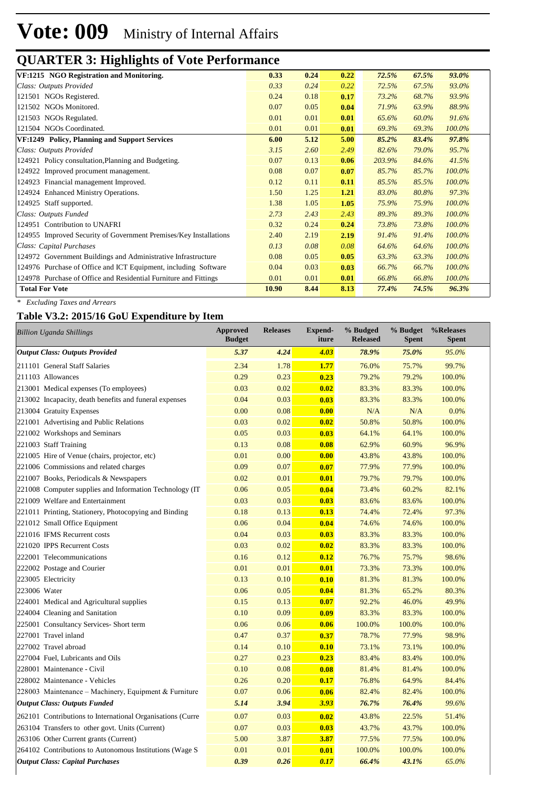| 0.33  | 0.24 | 0.22 | 72.5%  | 67.5% | 93.0%  |  |
|-------|------|------|--------|-------|--------|--|
| 0.33  | 0.24 | 0.22 | 72.5%  | 67.5% | 93.0%  |  |
| 0.24  | 0.18 | 0.17 | 73.2%  | 68.7% | 93.9%  |  |
| 0.07  | 0.05 | 0.04 | 71.9%  | 63.9% | 88.9%  |  |
| 0.01  | 0.01 | 0.01 | 65.6%  | 60.0% | 91.6%  |  |
| 0.01  | 0.01 | 0.01 | 69.3%  | 69.3% | 100.0% |  |
| 6.00  | 5.12 | 5.00 | 85.2%  | 83.4% | 97.8%  |  |
| 3.15  | 2.60 | 2.49 | 82.6%  | 79.0% | 95.7%  |  |
| 0.07  | 0.13 | 0.06 | 203.9% | 84.6% | 41.5%  |  |
| 0.08  | 0.07 | 0.07 | 85.7%  | 85.7% | 100.0% |  |
| 0.12  | 0.11 | 0.11 | 85.5%  | 85.5% | 100.0% |  |
| 1.50  | 1.25 | 1.21 | 83.0%  | 80.8% | 97.3%  |  |
| 1.38  | 1.05 | 1.05 | 75.9%  | 75.9% | 100.0% |  |
| 2.73  | 2.43 | 2.43 | 89.3%  | 89.3% | 100.0% |  |
| 0.32  | 0.24 | 0.24 | 73.8%  | 73.8% | 100.0% |  |
| 2.40  | 2.19 | 2.19 | 91.4%  | 91.4% | 100.0% |  |
| 0.13  | 0.08 | 0.08 | 64.6%  | 64.6% | 100.0% |  |
| 0.08  | 0.05 | 0.05 | 63.3%  | 63.3% | 100.0% |  |
| 0.04  | 0.03 | 0.03 | 66.7%  | 66.7% | 100.0% |  |
| 0.01  | 0.01 | 0.01 | 66.8%  | 66.8% | 100.0% |  |
| 10.90 | 8.44 | 8.13 | 77.4%  | 74.5% | 96.3%  |  |
|       |      |      |        |       |        |  |

*\* Excluding Taxes and Arrears*

#### **Table V3.2: 2015/16 GoU Expenditure by Item**

| <b>Billion Uganda Shillings</b>                            | Approved<br><b>Budget</b> | <b>Releases</b> | <b>Expend-</b><br>iture | % Budged<br><b>Released</b> | % Budget<br><b>Spent</b> | %Releases<br><b>Spent</b> |
|------------------------------------------------------------|---------------------------|-----------------|-------------------------|-----------------------------|--------------------------|---------------------------|
| <b>Output Class: Outputs Provided</b>                      | 5.37                      | 4.24            | 4.03                    | 78.9%                       | 75.0%                    | 95.0%                     |
| 211101 General Staff Salaries                              | 2.34                      | 1.78            | 1.77                    | 76.0%                       | 75.7%                    | 99.7%                     |
| 211103 Allowances                                          | 0.29                      | 0.23            | 0.23                    | 79.2%                       | 79.2%                    | 100.0%                    |
| 213001 Medical expenses (To employees)                     | 0.03                      | 0.02            | 0.02                    | 83.3%                       | 83.3%                    | 100.0%                    |
| 213002 Incapacity, death benefits and funeral expenses     | 0.04                      | 0.03            | 0.03                    | 83.3%                       | 83.3%                    | 100.0%                    |
| 213004 Gratuity Expenses                                   | 0.00                      | 0.08            | 0.00                    | N/A                         | N/A                      | 0.0%                      |
| 221001 Advertising and Public Relations                    | 0.03                      | 0.02            | 0.02                    | 50.8%                       | 50.8%                    | 100.0%                    |
| 221002 Workshops and Seminars                              | 0.05                      | 0.03            | 0.03                    | 64.1%                       | 64.1%                    | 100.0%                    |
| 221003 Staff Training                                      | 0.13                      | 0.08            | 0.08                    | 62.9%                       | 60.9%                    | 96.9%                     |
| 221005 Hire of Venue (chairs, projector, etc)              | 0.01                      | 0.00            | 0.00                    | 43.8%                       | 43.8%                    | 100.0%                    |
| 221006 Commissions and related charges                     | 0.09                      | 0.07            | 0.07                    | 77.9%                       | 77.9%                    | 100.0%                    |
| 221007 Books, Periodicals & Newspapers                     | 0.02                      | 0.01            | 0.01                    | 79.7%                       | 79.7%                    | 100.0%                    |
| 221008 Computer supplies and Information Technology (IT    | 0.06                      | 0.05            | 0.04                    | 73.4%                       | 60.2%                    | 82.1%                     |
| 221009 Welfare and Entertainment                           | 0.03                      | 0.03            | 0.03                    | 83.6%                       | 83.6%                    | 100.0%                    |
| 221011 Printing, Stationery, Photocopying and Binding      | 0.18                      | 0.13            | 0.13                    | 74.4%                       | 72.4%                    | 97.3%                     |
| 221012 Small Office Equipment                              | 0.06                      | 0.04            | 0.04                    | 74.6%                       | 74.6%                    | 100.0%                    |
| 221016 IFMS Recurrent costs                                | 0.04                      | 0.03            | 0.03                    | 83.3%                       | 83.3%                    | 100.0%                    |
| 221020 IPPS Recurrent Costs                                | 0.03                      | 0.02            | 0.02                    | 83.3%                       | 83.3%                    | 100.0%                    |
| 222001 Telecommunications                                  | 0.16                      | 0.12            | 0.12                    | 76.7%                       | 75.7%                    | 98.6%                     |
| 222002 Postage and Courier                                 | 0.01                      | 0.01            | 0.01                    | 73.3%                       | 73.3%                    | 100.0%                    |
| 223005 Electricity                                         | 0.13                      | 0.10            | 0.10                    | 81.3%                       | 81.3%                    | 100.0%                    |
| 223006 Water                                               | 0.06                      | 0.05            | 0.04                    | 81.3%                       | 65.2%                    | 80.3%                     |
| 224001 Medical and Agricultural supplies                   | 0.15                      | 0.13            | 0.07                    | 92.2%                       | 46.0%                    | 49.9%                     |
| 224004 Cleaning and Sanitation                             | 0.10                      | 0.09            | 0.09                    | 83.3%                       | 83.3%                    | 100.0%                    |
| 225001 Consultancy Services- Short term                    | 0.06                      | 0.06            | 0.06                    | 100.0%                      | 100.0%                   | 100.0%                    |
| 227001 Travel inland                                       | 0.47                      | 0.37            | 0.37                    | 78.7%                       | 77.9%                    | 98.9%                     |
| 227002 Travel abroad                                       | 0.14                      | 0.10            | 0.10                    | 73.1%                       | 73.1%                    | 100.0%                    |
| 227004 Fuel, Lubricants and Oils                           | 0.27                      | 0.23            | 0.23                    | 83.4%                       | 83.4%                    | 100.0%                    |
| 228001 Maintenance - Civil                                 | 0.10                      | 0.08            | 0.08                    | 81.4%                       | 81.4%                    | 100.0%                    |
| 228002 Maintenance - Vehicles                              | 0.26                      | 0.20            | 0.17                    | 76.8%                       | 64.9%                    | 84.4%                     |
| 228003 Maintenance – Machinery, Equipment & Furniture      | 0.07                      | 0.06            | 0.06                    | 82.4%                       | 82.4%                    | 100.0%                    |
| <b>Output Class: Outputs Funded</b>                        | 5.14                      | 3.94            | 3.93                    | 76.7%                       | 76.4%                    | 99.6%                     |
| 262101 Contributions to International Organisations (Curre | 0.07                      | 0.03            | 0.02                    | 43.8%                       | 22.5%                    | 51.4%                     |
| 263104 Transfers to other govt. Units (Current)            | 0.07                      | 0.03            | 0.03                    | 43.7%                       | 43.7%                    | 100.0%                    |
| 263106 Other Current grants (Current)                      | 5.00                      | 3.87            | 3.87                    | 77.5%                       | 77.5%                    | 100.0%                    |
| 264102 Contributions to Autonomous Institutions (Wage S)   | 0.01                      | 0.01            | 0.01                    | 100.0%                      | 100.0%                   | 100.0%                    |
| <b>Output Class: Capital Purchases</b>                     | 0.39                      | 0.26            | 0.17                    | 66.4%                       | 43.1%                    | 65.0%                     |